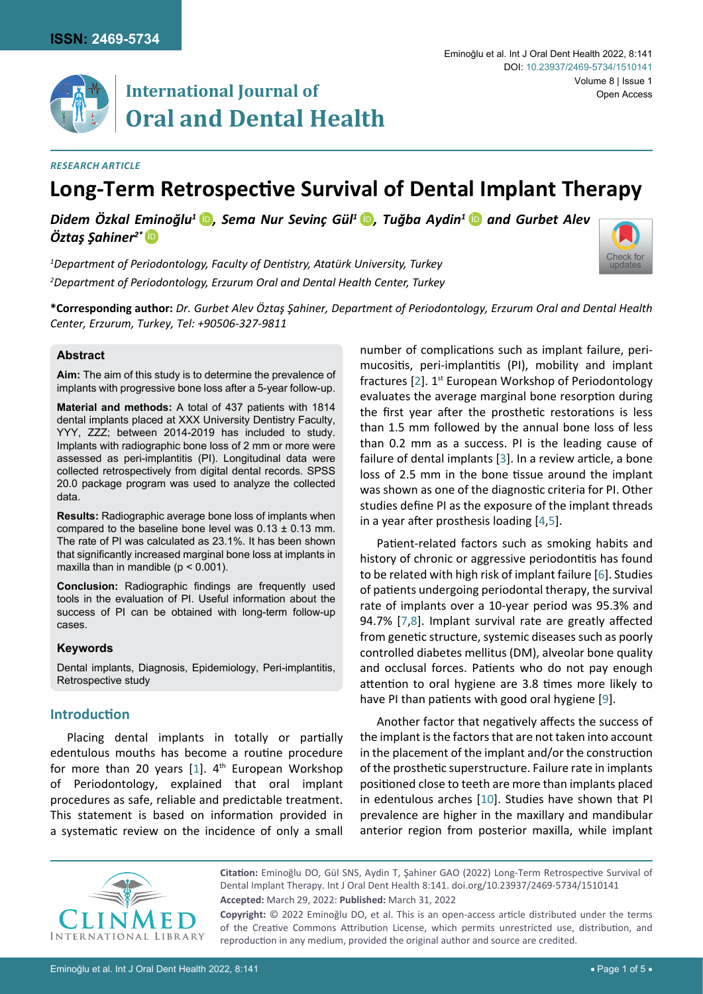

# **International Journal of Oral and Dental Health**

[Check for](http://crossmark.crossref.org/dialog/?doi=10.23937/2469-5734/1510141&domain=pdf) updates

#### *Research Article*

## **Long-Term Retrospective Survival of Dental Implant Therapy**

*Didem Özkal Eminoğlu<sup>1</sup>*[iD](https://orcid.org/0000-0001-9406-3368) *, Sema Nur Sevinç Gül<sup>1</sup>*[iD](https://orcid.org/0000-0003-0699-917X) *, Tuğba Aydin<sup>1</sup>*[iD](https://orcid.org/0000-0002-9675-5509) *and Gurbet Alev Öztaş Şahiner2\** [iD](https://orcid.org/0000-0002-0565-6194)

*1 Department of Periodontology, Faculty of Dentistry, Atatürk University, Turkey 2 Department of Periodontology, Erzurum Oral and Dental Health Center, Turkey*

**\*Corresponding author:** *Dr. Gurbet Alev Öztaş Şahiner, Department of Periodontology, Erzurum Oral and Dental Health Center, Erzurum, Turkey, Tel: +90506-327-9811*

## **Abstract**

**Aim:** The aim of this study is to determine the prevalence of implants with progressive bone loss after a 5-year follow-up.

**Material and methods:** A total of 437 patients with 1814 dental implants placed at XXX University Dentistry Faculty, YYY, ZZZ; between 2014-2019 has included to study. Implants with radiographic bone loss of 2 mm or more were assessed as peri-implantitis (PI). Longitudinal data were collected retrospectively from digital dental records. SPSS 20.0 package program was used to analyze the collected data.

**Results:** Radiographic average bone loss of implants when compared to the baseline bone level was  $0.13 \pm 0.13$  mm. The rate of PI was calculated as 23.1%. It has been shown that significantly increased marginal bone loss at implants in maxilla than in mandible ( $p < 0.001$ ).

**Conclusion:** Radiographic findings are frequently used tools in the evaluation of PI. Useful information about the success of PI can be obtained with long-term follow-up cases.

#### **Keywords**

Dental implants, Diagnosis, Epidemiology, Peri-implantitis, Retrospective study

#### **Introduction**

Placing dental implants in totally or partially edentulous mouths has become a routine procedure for more than 20 years  $[1]$  $[1]$ .  $4<sup>th</sup>$  European Workshop of Periodontology, explained that oral implant procedures as safe, reliable and predictable treatment. This statement is based on information provided in a systematic review on the incidence of only a small

number of complications such as implant failure, perimucositis, peri-implantitis (PI), mobility and implant fractures [\[2\]](#page-3-0). 1<sup>st</sup> European Workshop of Periodontology evaluates the average marginal bone resorption during the first year after the prosthetic restorations is less than 1.5 mm followed by the annual bone loss of less than 0.2 mm as a success. PI is the leading cause of failure of dental implants [\[3](#page-3-1)]. In a review article, a bone loss of 2.5 mm in the bone tissue around the implant was shown as one of the diagnostic criteria for PI. Other studies define PI as the exposure of the implant threads in a year after prosthesis loading [\[4,](#page-3-2)[5](#page-3-3)].

Patient-related factors such as smoking habits and history of chronic or aggressive periodontitis has found to be related with high risk of implant failure [[6](#page-3-4)]. Studies of patients undergoing periodontal therapy, the survival rate of implants over a 10-year period was 95.3% and 94.7% [[7](#page-3-5),[8\]](#page-4-0). Implant survival rate are greatly affected from genetic structure, systemic diseases such as poorly controlled diabetes mellitus (DM), alveolar bone quality and occlusal forces. Patients who do not pay enough attention to oral hygiene are 3.8 times more likely to have PI than patients with good oral hygiene [\[9\]](#page-4-1).

Another factor that negatively affects the success of the implant is the factors that are not taken into account in the placement of the implant and/or the construction of the prosthetic superstructure. Failure rate in implants positioned close to teeth are more than implants placed in edentulous arches [\[10](#page-4-2)]. Studies have shown that PI prevalence are higher in the maxillary and mandibular anterior region from posterior maxilla, while implant



**Citation:** Eminoğlu DO, Gül SNS, Aydin T, Şahiner GAO (2022) Long-Term Retrospective Survival of Dental Implant Therapy. Int J Oral Dent Health 8:141. [doi.org/10.23937/2469-5734/1510141](https://doi.org/10.23937/2469-5734/1510141) **Accepted:** March 29, 2022: **Published:** March 31, 2022

**Copyright:** © 2022 Eminoğlu DO, et al. This is an open-access article distributed under the terms of the Creative Commons Attribution License, which permits unrestricted use, distribution, and reproduction in any medium, provided the original author and source are credited.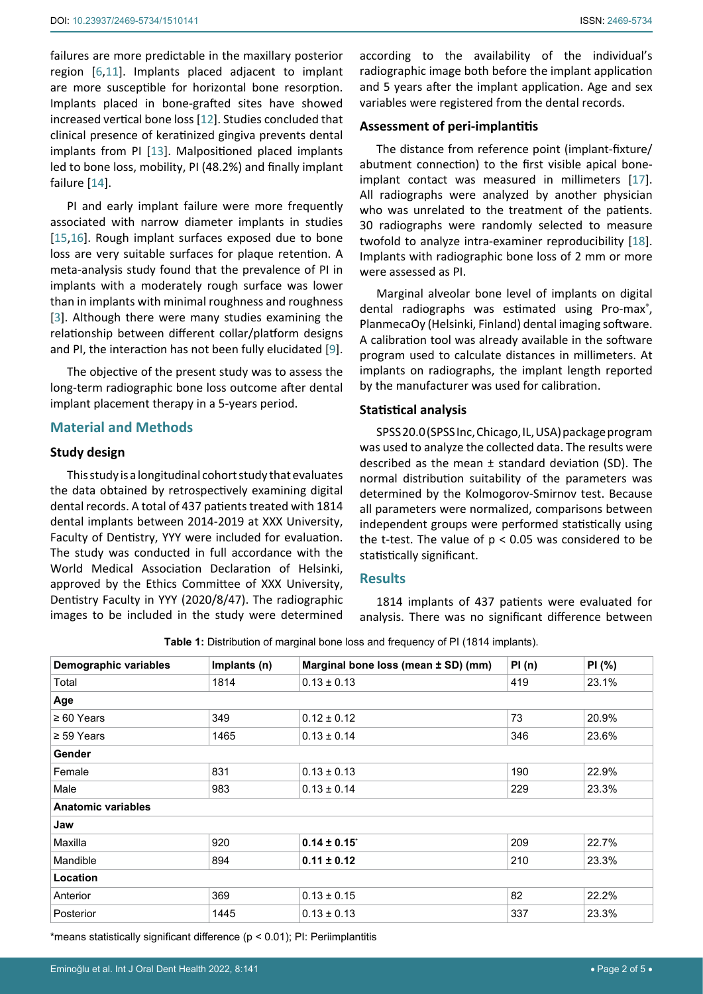failures are more predictable in the maxillary posterior region [\[6](#page-3-4)[,11\]](#page-4-5). Implants placed adjacent to implant are more susceptible for horizontal bone resorption. Implants placed in bone-grafted sites have showed increased vertical bone loss [[12\]](#page-4-6). Studies concluded that clinical presence of keratinized gingiva prevents dental implants from PI [[13\]](#page-4-7). Malpositioned placed implants led to bone loss, mobility, PI (48.2%) and finally implant failure [\[14](#page-4-8)].

PI and early implant failure were more frequently associated with narrow diameter implants in studies [[15](#page-4-9),[16\]](#page-4-10). Rough implant surfaces exposed due to bone loss are very suitable surfaces for plaque retention. A meta-analysis study found that the prevalence of PI in implants with a moderately rough surface was lower than in implants with minimal roughness and roughness [[3](#page-3-1)]. Although there were many studies examining the relationship between different collar/platform designs and PI, the interaction has not been fully elucidated [[9](#page-4-1)].

The objective of the present study was to assess the long-term radiographic bone loss outcome after dental implant placement therapy in a 5-years period.

#### **Material and Methods**

#### **Study design**

This study is a longitudinal cohort study that evaluates the data obtained by retrospectively examining digital dental records. A total of 437 patients treated with 1814 dental implants between 2014-2019 at XXX University, Faculty of Dentistry, YYY were included for evaluation. The study was conducted in full accordance with the World Medical Association Declaration of Helsinki, approved by the Ethics Committee of XXX University, Dentistry Faculty in YYY (2020/8/47). The radiographic images to be included in the study were determined

according to the availability of the individual's radiographic image both before the implant application and 5 years after the implant application. Age and sex variables were registered from the dental records.

## **Assessment of peri-implantitis**

The distance from reference point (implant-fixture/ abutment connection) to the first visible apical boneimplant contact was measured in millimeters [\[17\]](#page-4-3). All radiographs were analyzed by another physician who was unrelated to the treatment of the patients. 30 radiographs were randomly selected to measure twofold to analyze intra-examiner reproducibility [\[18\]](#page-4-4). Implants with radiographic bone loss of 2 mm or more were assessed as PI.

Marginal alveolar bone level of implants on digital dental radiographs was estimated using Pro-max®, PlanmecaOy (Helsinki, Finland) dental imaging software. A calibration tool was already available in the software program used to calculate distances in millimeters. At implants on radiographs, the implant length reported by the manufacturer was used for calibration.

#### **Statistical analysis**

SPSS 20.0 (SPSS Inc, Chicago, IL, USA) package program was used to analyze the collected data. The results were described as the mean  $\pm$  standard deviation (SD). The normal distribution suitability of the parameters was determined by the Kolmogorov-Smirnov test. Because all parameters were normalized, comparisons between independent groups were performed statistically using the t-test. The value of  $p < 0.05$  was considered to be statistically significant.

#### **Results**

1814 implants of 437 patients were evaluated for analysis. There was no significant difference between

| Demographic variables     | Implants (n) | Marginal bone loss (mean ± SD) (mm) | PI(n) | PI(%) |
|---------------------------|--------------|-------------------------------------|-------|-------|
| Total                     | 1814         | $0.13 \pm 0.13$                     | 419   | 23.1% |
| Age                       |              |                                     |       |       |
| $\geq 60$ Years           | 349          | $0.12 \pm 0.12$                     | 73    | 20.9% |
| $\geq$ 59 Years           | 1465         | $0.13 \pm 0.14$                     | 346   | 23.6% |
| Gender                    |              |                                     |       |       |
| Female                    | 831          | $0.13 \pm 0.13$                     | 190   | 22.9% |
| Male                      | 983          | $0.13 \pm 0.14$                     | 229   | 23.3% |
| <b>Anatomic variables</b> |              |                                     |       |       |
| Jaw                       |              |                                     |       |       |
| Maxilla                   | 920          | $0.14 \pm 0.15$                     | 209   | 22.7% |
| Mandible                  | 894          | $0.11 \pm 0.12$                     | 210   | 23.3% |
| Location                  |              |                                     |       |       |
| Anterior                  | 369          | $0.13 \pm 0.15$                     | 82    | 22.2% |
| Posterior                 | 1445         | $0.13 \pm 0.13$                     | 337   | 23.3% |

<span id="page-1-0"></span>**Table 1:** Distribution of marginal bone loss and frequency of PI (1814 implants).

\*means statistically significant difference (p < 0.01); PI: Periimplantitis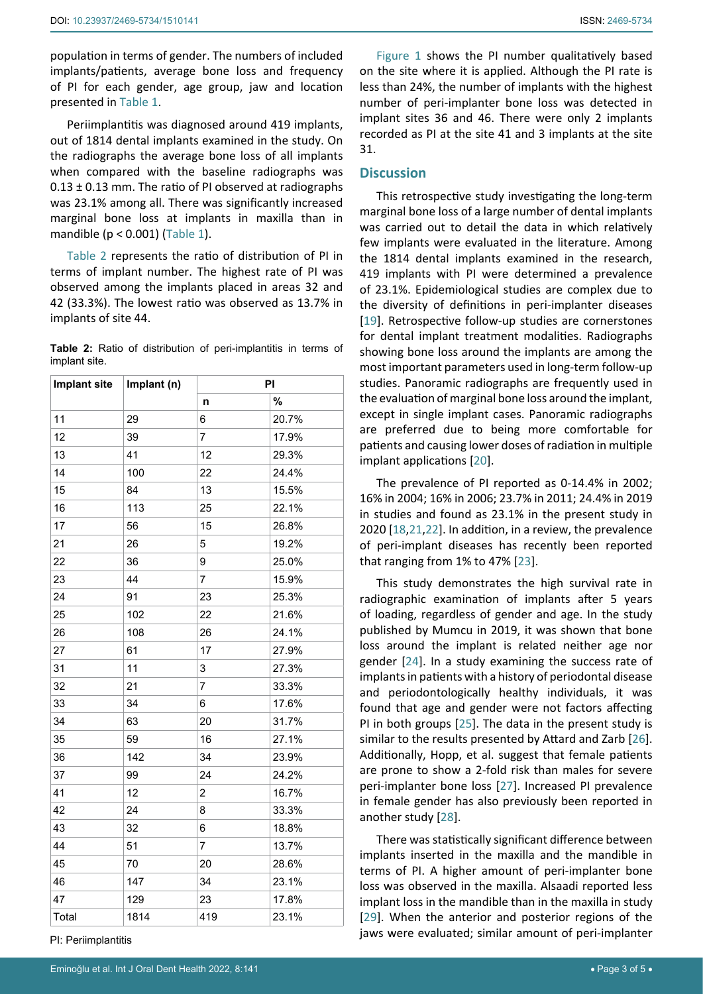population in terms of gender. The numbers of included implants/patients, average bone loss and frequency of PI for each gender, age group, jaw and location presented in [Table 1.](#page-1-0)

Periimplantitis was diagnosed around 419 implants, out of 1814 dental implants examined in the study. On the radiographs the average bone loss of all implants when compared with the baseline radiographs was  $0.13 \pm 0.13$  mm. The ratio of PI observed at radiographs was 23.1% among all. There was significantly increased marginal bone loss at implants in maxilla than in mandible (p < 0.001) ([Table 1](#page-1-0)).

[Table 2](#page-2-0) represents the ratio of distribution of PI in terms of implant number. The highest rate of PI was observed among the implants placed in areas 32 and 42 (33.3%). The lowest ratio was observed as 13.7% in implants of site 44.

<span id="page-2-0"></span>**Table 2:** Ratio of distribution of peri-implantitis in terms of implant site.

| Implant site | Implant (n) | PI             |       |
|--------------|-------------|----------------|-------|
|              |             | n              | $\%$  |
| 11           | 29          | 6              | 20.7% |
| 12           | 39          | $\overline{7}$ | 17.9% |
| 13           | 41          | 12             | 29.3% |
| 14           | 100         | 22             | 24.4% |
| 15           | 84          | 13             | 15.5% |
| 16           | 113         | 25             | 22.1% |
| 17           | 56          | 15             | 26.8% |
| 21           | 26          | 5              | 19.2% |
| 22           | 36          | 9              | 25.0% |
| 23           | 44          | $\overline{7}$ | 15.9% |
| 24           | 91          | 23             | 25.3% |
| 25           | 102         | 22             | 21.6% |
| 26           | 108         | 26             | 24.1% |
| 27           | 61          | 17             | 27.9% |
| 31           | 11          | 3              | 27.3% |
| 32           | 21          | $\overline{7}$ | 33.3% |
| 33           | 34          | 6              | 17.6% |
| 34           | 63          | 20             | 31.7% |
| 35           | 59          | 16             | 27.1% |
| 36           | 142         | 34             | 23.9% |
| 37           | 99          | 24             | 24.2% |
| 41           | 12          | $\overline{c}$ | 16.7% |
| 42           | 24          | 8              | 33.3% |
| 43           | 32          | 6              | 18.8% |
| 44           | 51          | $\overline{7}$ | 13.7% |
| 45           | 70          | 20             | 28.6% |
| 46           | 147         | 34             | 23.1% |
| 47           | 129         | 23             | 17.8% |
| Total        | 1814        | 419            | 23.1% |

PI: Periimplantitis

[Figure 1](#page-3-7) shows the PI number qualitatively based on the site where it is applied. Although the PI rate is less than 24%, the number of implants with the highest number of peri-implanter bone loss was detected in implant sites 36 and 46. There were only 2 implants recorded as PI at the site 41 and 3 implants at the site 31.

## **Discussion**

This retrospective study investigating the long-term marginal bone loss of a large number of dental implants was carried out to detail the data in which relatively few implants were evaluated in the literature. Among the 1814 dental implants examined in the research, 419 implants with PI were determined a prevalence of 23.1%. Epidemiological studies are complex due to the diversity of definitions in peri-implanter diseases [\[19](#page-4-11)]. Retrospective follow-up studies are cornerstones for dental implant treatment modalities. Radiographs showing bone loss around the implants are among the most important parameters used in long-term follow-up studies. Panoramic radiographs are frequently used in the evaluation of marginal bone loss around the implant, except in single implant cases. Panoramic radiographs are preferred due to being more comfortable for patients and causing lower doses of radiation in multiple implant applications [\[20](#page-4-12)].

The prevalence of PI reported as 0-14.4% in 2002; 16% in 2004; 16% in 2006; 23.7% in 2011; 24.4% in 2019 in studies and found as 23.1% in the present study in 2020 [[18,](#page-4-4)[21](#page-4-13)[,22\]](#page-4-14). In addition, in a review, the prevalence of peri-implant diseases has recently been reported that ranging from 1% to 47% [[23\]](#page-4-15).

This study demonstrates the high survival rate in radiographic examination of implants after 5 years of loading, regardless of gender and age. In the study published by Mumcu in 2019, it was shown that bone loss around the implant is related neither age nor gender [[24\]](#page-4-16). In a study examining the success rate of implants in patients with a history of periodontal disease and periodontologically healthy individuals, it was found that age and gender were not factors affecting PI in both groups [[25\]](#page-4-17). The data in the present study is similar to the results presented by Attard and Zarb [\[26\]](#page-4-18). Additionally, Hopp, et al. suggest that female patients are prone to show a 2-fold risk than males for severe peri-implanter bone loss [\[27\]](#page-4-19). Increased PI prevalence in female gender has also previously been reported in another study [\[28](#page-4-20)].

There was statistically significant difference between implants inserted in the maxilla and the mandible in terms of PI. A higher amount of peri-implanter bone loss was observed in the maxilla. Alsaadi reported less implant loss in the mandible than in the maxilla in study [\[29](#page-4-21)]. When the anterior and posterior regions of the jaws were evaluated; similar amount of peri-implanter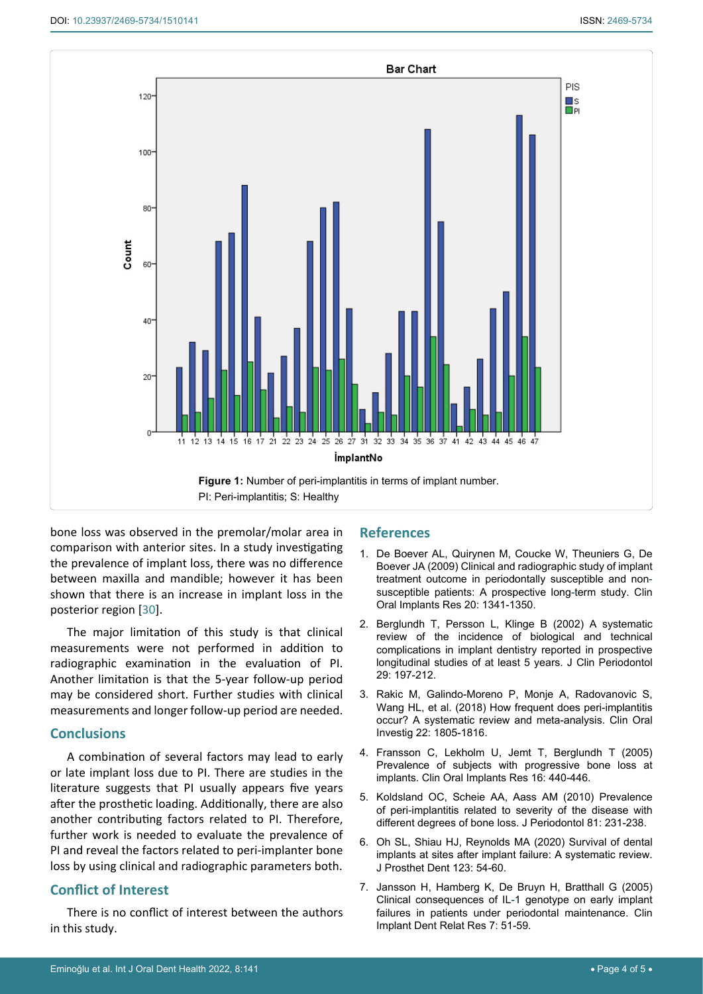<span id="page-3-7"></span>

bone loss was observed in the premolar/molar area in comparison with anterior sites. In a study investigating the prevalence of implant loss, there was no difference between maxilla and mandible; however it has been shown that there is an increase in implant loss in the posterior region [\[30\]](#page-4-22).

The major limitation of this study is that clinical measurements were not performed in addition to radiographic examination in the evaluation of PI. Another limitation is that the 5-year follow-up period may be considered short. Further studies with clinical measurements and longer follow-up period are needed.

## **Conclusions**

A combination of several factors may lead to early or late implant loss due to PI. There are studies in the literature suggests that PI usually appears five years after the prosthetic loading. Additionally, there are also another contributing factors related to PI. Therefore, further work is needed to evaluate the prevalence of PI and reveal the factors related to peri-implanter bone loss by using clinical and radiographic parameters both.

## **Conflict of Interest**

There is no conflict of interest between the authors in this study.

## **References**

- <span id="page-3-6"></span>1. [De Boever AL, Quirynen M, Coucke W, Theuniers G, De](https://pubmed.ncbi.nlm.nih.gov/19793321/)  [Boever JA \(2009\) Clinical and radiographic study of implant](https://pubmed.ncbi.nlm.nih.gov/19793321/)  [treatment outcome in periodontally susceptible and non](https://pubmed.ncbi.nlm.nih.gov/19793321/)[susceptible patients: A prospective long-term study. Clin](https://pubmed.ncbi.nlm.nih.gov/19793321/)  [Oral Implants Res 20: 1341-1350.](https://pubmed.ncbi.nlm.nih.gov/19793321/)
- <span id="page-3-0"></span>2. [Berglundh T, Persson L, Klinge B \(2002\) A systematic](https://pubmed.ncbi.nlm.nih.gov/12787220/)  [review of the incidence of biological and technical](https://pubmed.ncbi.nlm.nih.gov/12787220/)  [complications in implant dentistry reported in prospective](https://pubmed.ncbi.nlm.nih.gov/12787220/)  [longitudinal studies of at least 5 years. J Clin Periodontol](https://pubmed.ncbi.nlm.nih.gov/12787220/)  [29: 197-212.](https://pubmed.ncbi.nlm.nih.gov/12787220/)
- <span id="page-3-1"></span>3. [Rakic M, Galindo-Moreno P, Monje A, Radovanovic S,](https://pubmed.ncbi.nlm.nih.gov/29218422/)  [Wang HL, et al. \(2018\) How frequent does peri-implantitis](https://pubmed.ncbi.nlm.nih.gov/29218422/)  [occur? A systematic review and meta-analysis. Clin Oral](https://pubmed.ncbi.nlm.nih.gov/29218422/)  [Investig 22: 1805-1816.](https://pubmed.ncbi.nlm.nih.gov/29218422/)
- <span id="page-3-2"></span>4. [Fransson C, Lekholm U, Jemt T, Berglundh T \(2005\)](https://pubmed.ncbi.nlm.nih.gov/16117768/)  [Prevalence of subjects with progressive bone loss at](https://pubmed.ncbi.nlm.nih.gov/16117768/)  [implants. Clin Oral Implants Res 16: 440-446.](https://pubmed.ncbi.nlm.nih.gov/16117768/)
- <span id="page-3-3"></span>5. [Koldsland OC, Scheie AA, Aass AM \(2010\) Prevalence](https://pubmed.ncbi.nlm.nih.gov/20151801/)  [of peri-implantitis related to severity of the disease with](https://pubmed.ncbi.nlm.nih.gov/20151801/)  [different degrees of bone loss. J Periodontol 81: 231-238.](https://pubmed.ncbi.nlm.nih.gov/20151801/)
- <span id="page-3-4"></span>6. [Oh SL, Shiau HJ, Reynolds MA \(2020\) Survival of dental](https://pubmed.ncbi.nlm.nih.gov/31027959/)  [implants at sites after implant failure: A systematic review.](https://pubmed.ncbi.nlm.nih.gov/31027959/)  [J Prosthet Dent 123: 54-60.](https://pubmed.ncbi.nlm.nih.gov/31027959/)
- <span id="page-3-5"></span>7. [Jansson H, Hamberg K, De Bruyn H, Bratthall G \(2005\)](https://pubmed.ncbi.nlm.nih.gov/15903175/)  Clinical consequences of IL[-1 genotype on early implant](https://pubmed.ncbi.nlm.nih.gov/15903175/)  [failures in patients under periodontal maintenance. Clin](https://pubmed.ncbi.nlm.nih.gov/15903175/)  [Implant Dent Relat Res 7: 51-59.](https://pubmed.ncbi.nlm.nih.gov/15903175/)